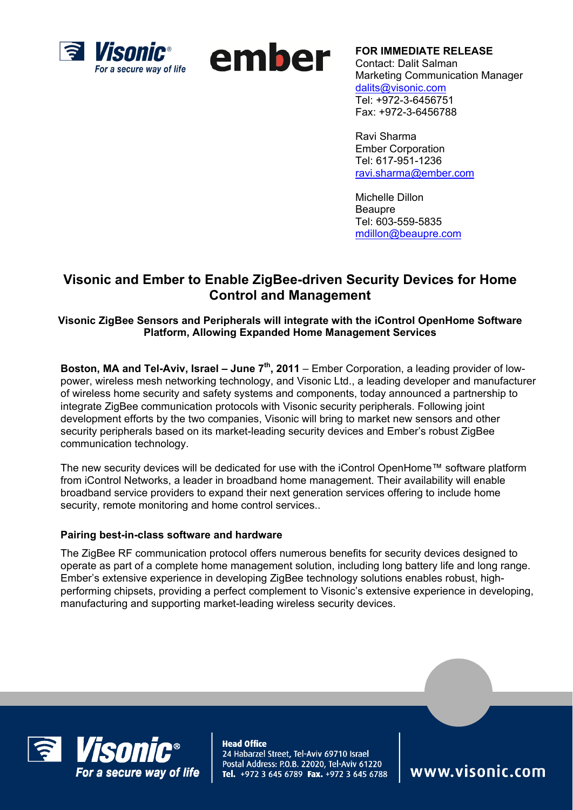



**FOR IMMEDIATE RELEASE**  Contact: Dalit Salman Marketing Communication Manager dalits@visonic.com Tel: +972-3-6456751 Fax: +972-3-6456788

Ravi Sharma Ember Corporation Tel: 617-951-1236 ravi.sharma@ember.com

Michelle Dillon Beaupre Tel: 603-559-5835 mdillon@beaupre.com

## **Visonic and Ember to Enable ZigBee-driven Security Devices for Home Control and Management**

**Visonic ZigBee Sensors and Peripherals will integrate with the iControl OpenHome Software Platform, Allowing Expanded Home Management Services** 

**Boston, MA and Tel-Aviv, Israel – June 7<sup>th</sup>, 2011** – Ember Corporation, a leading provider of lowpower, wireless mesh networking technology, and Visonic Ltd., a leading developer and manufacturer of wireless home security and safety systems and components, today announced a partnership to integrate ZigBee communication protocols with Visonic security peripherals. Following joint development efforts by the two companies, Visonic will bring to market new sensors and other security peripherals based on its market-leading security devices and Ember's robust ZigBee communication technology.

The new security devices will be dedicated for use with the iControl OpenHome™ software platform from iControl Networks, a leader in broadband home management. Their availability will enable broadband service providers to expand their next generation services offering to include home security, remote monitoring and home control services..

## **Pairing best-in-class software and hardware**

The ZigBee RF communication protocol offers numerous benefits for security devices designed to operate as part of a complete home management solution, including long battery life and long range. Ember's extensive experience in developing ZigBee technology solutions enables robust, highperforming chipsets, providing a perfect complement to Visonic's extensive experience in developing, manufacturing and supporting market-leading wireless security devices.



**Head Office** 24 Habarzel Street, Tel-Aviv 69710 Israel Postal Address: P.O.B. 22020, Tel-Aviv 61220 Tel. +972 3 645 6789 Fax. +972 3 645 6788

www.visonic.com